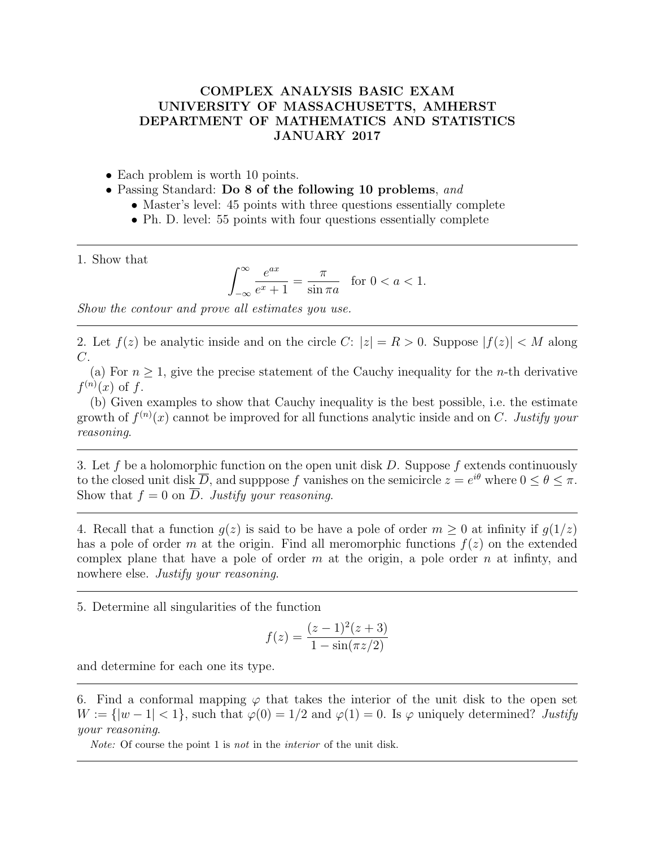## COMPLEX ANALYSIS BASIC EXAM UNIVERSITY OF MASSACHUSETTS, AMHERST DEPARTMENT OF MATHEMATICS AND STATISTICS JANUARY 2017

- Each problem is worth 10 points.
- Passing Standard: Do 8 of the following 10 problems, and
	- Master's level: 45 points with three questions essentially complete
	- Ph. D. level: 55 points with four questions essentially complete

1. Show that

$$
\int_{-\infty}^{\infty} \frac{e^{ax}}{e^x + 1} = \frac{\pi}{\sin \pi a} \quad \text{for } 0 < a < 1.
$$

Show the contour and prove all estimates you use.

2. Let  $f(z)$  be analytic inside and on the circle C:  $|z| = R > 0$ . Suppose  $|f(z)| < M$  along C.

(a) For  $n > 1$ , give the precise statement of the Cauchy inequality for the *n*-th derivative  $f^{(n)}(x)$  of f.

(b) Given examples to show that Cauchy inequality is the best possible, i.e. the estimate growth of  $f^{(n)}(x)$  cannot be improved for all functions analytic inside and on C. Justify your reasoning.

3. Let f be a holomorphic function on the open unit disk D. Suppose f extends continuously to the closed unit disk  $\overline{D}$ , and supppose f vanishes on the semicircle  $z = e^{i\theta}$  where  $0 \le \theta \le \pi$ . Show that  $f = 0$  on  $\overline{D}$ . Justify your reasoning.

4. Recall that a function  $q(z)$  is said to be have a pole of order  $m > 0$  at infinity if  $q(1/z)$ has a pole of order m at the origin. Find all meromorphic functions  $f(z)$  on the extended complex plane that have a pole of order  $m$  at the origin, a pole order  $n$  at infinity, and nowhere else. Justify your reasoning.

5. Determine all singularities of the function

$$
f(z) = \frac{(z-1)^2(z+3)}{1 - \sin(\pi z/2)}
$$

and determine for each one its type.

6. Find a conformal mapping  $\varphi$  that takes the interior of the unit disk to the open set  $W := \{|w-1| < 1\}$ , such that  $\varphi(0) = 1/2$  and  $\varphi(1) = 0$ . Is  $\varphi$  uniquely determined? Justify your reasoning.

Note: Of course the point 1 is not in the interior of the unit disk.